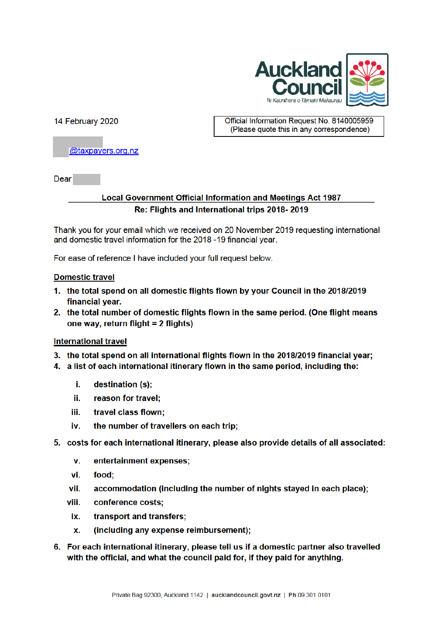

14 February 2020

Official Information Request No. 8140005959 (Please quote this in any correspondence)

@taxpayers.org.nz

Dear

## **Local Government Official Information and Meetings Act 1987** Re: Flights and International trips 2018-2019

Thank you for your email which we received on 20 November 2019 requesting international and domestic travel information for the 2018 -19 financial year.

For ease of reference I have included your full request below.

### **Domestic travel**

- 1. the total spend on all domestic flights flown by your Council in the 2018/2019 financial year.
- 2. the total number of domestic flights flown in the same period. (One flight means one way, return flight = 2 flights)

### **International travel**

- 3. the total spend on all international flights flown in the 2018/2019 financial year;
- 4. a list of each international itinerary flown in the same period, including the:
	- i. destination (s);
	- ii. reason for travel:
	- iii. travel class flown;
	- the number of travellers on each trip; iv.
- 5. costs for each international itinerary, please also provide details of all associated:
	- $\mathbf{v}$ . entertainment expenses;
	- vi. food;
	- accommodation (including the number of nights stayed in each place); vii.
	- viii. conference costs:
		- ix. transport and transfers:
		- (including any expense reimbursement); X.
- 6. For each international itinerary, please tell us if a domestic partner also travelled with the official, and what the council paid for, if they paid for anything.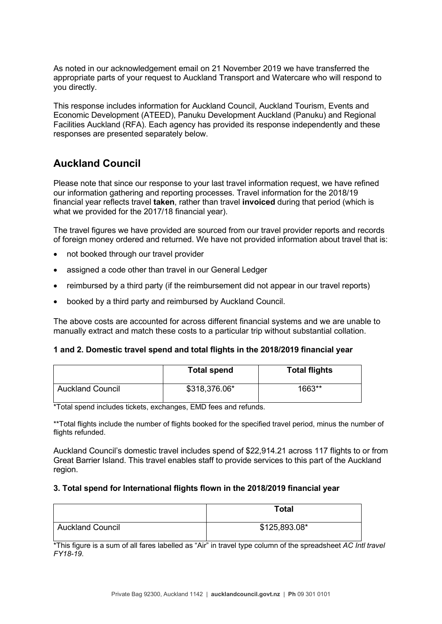As noted in our acknowledgement email on 21 November 2019 we have transferred the appropriate parts of your request to Auckland Transport and Watercare who will respond to you directly.

This response includes information for Auckland Council, Auckland Tourism, Events and Economic Development (ATEED), Panuku Development Auckland (Panuku) and Regional Facilities Auckland (RFA). Each agency has provided its response independently and these responses are presented separately below.

# **Auckland Council**

Please note that since our response to your last travel information request, we have refined our information gathering and reporting processes. Travel information for the 2018/19 financial year reflects travel **taken**, rather than travel **invoiced** during that period (which is what we provided for the 2017/18 financial year).

The travel figures we have provided are sourced from our travel provider reports and records of foreign money ordered and returned. We have not provided information about travel that is:

- not booked through our travel provider
- assigned a code other than travel in our General Ledger
- reimbursed by a third party (if the reimbursement did not appear in our travel reports)
- booked by a third party and reimbursed by Auckland Council.

The above costs are accounted for across different financial systems and we are unable to manually extract and match these costs to a particular trip without substantial collation.

|  |  |  |  | 1 and 2. Domestic travel spend and total flights in the 2018/2019 financial year |  |  |  |
|--|--|--|--|----------------------------------------------------------------------------------|--|--|--|
|--|--|--|--|----------------------------------------------------------------------------------|--|--|--|

|                         | <b>Total spend</b> | <b>Total flights</b> |
|-------------------------|--------------------|----------------------|
| <b>Auckland Council</b> | \$318,376.06*      | 1663**               |

\*Total spend includes tickets, exchanges, EMD fees and refunds.

\*\*Total flights include the number of flights booked for the specified travel period, minus the number of flights refunded.

Auckland Council's domestic travel includes spend of \$22,914.21 across 117 flights to or from Great Barrier Island. This travel enables staff to provide services to this part of the Auckland region.

#### **3. Total spend for International flights flown in the 2018/2019 financial year**

|                         | <b>Total</b>  |  |
|-------------------------|---------------|--|
| <b>Auckland Council</b> | \$125,893.08* |  |

\*This figure is a sum of all fares labelled as "Air" in travel type column of the spreadsheet *AC Intl travel FY18-19*.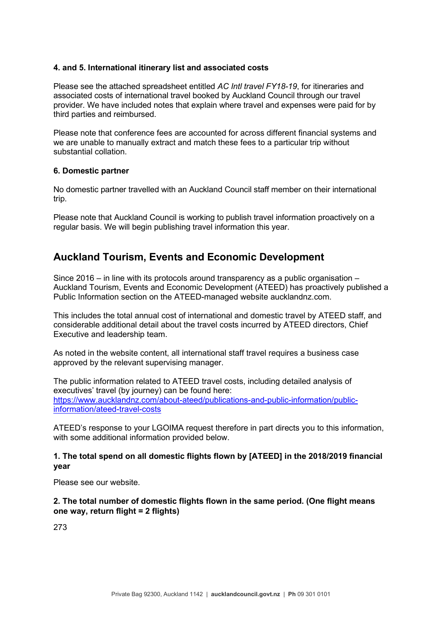#### **4. and 5. International itinerary list and associated costs**

Please see the attached spreadsheet entitled *AC Intl travel FY18-19*, for itineraries and associated costs of international travel booked by Auckland Council through our travel provider. We have included notes that explain where travel and expenses were paid for by third parties and reimbursed.

Please note that conference fees are accounted for across different financial systems and we are unable to manually extract and match these fees to a particular trip without substantial collation.

#### **6. Domestic partner**

No domestic partner travelled with an Auckland Council staff member on their international trip.

Please note that Auckland Council is working to publish travel information proactively on a regular basis. We will begin publishing travel information this year.

## **Auckland Tourism, Events and Economic Development**

Since 2016 – in line with its protocols around transparency as a public organisation – Auckland Tourism, Events and Economic Development (ATEED) has proactively published a Public Information section on the ATEED-managed website aucklandnz.com.

This includes the total annual cost of international and domestic travel by ATEED staff, and considerable additional detail about the travel costs incurred by ATEED directors, Chief Executive and leadership team.

As noted in the website content, all international staff travel requires a business case approved by the relevant supervising manager.

The public information related to ATEED travel costs, including detailed analysis of executives' travel (by journey) can be found here: https://www.aucklandnz.com/about-ateed/publications-and-public-information/publicinformation/ateed-travel-costs

ATEED's response to your LGOIMA request therefore in part directs you to this information, with some additional information provided below.

#### **1. The total spend on all domestic flights flown by [ATEED] in the 2018/2019 financial year**

Please see our website.

### **2. The total number of domestic flights flown in the same period. (One flight means one way, return flight = 2 flights)**

273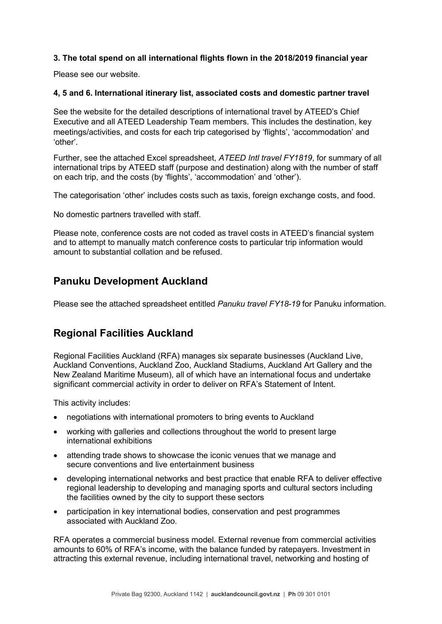## **3. The total spend on all international flights flown in the 2018/2019 financial year**

Please see our website.

### **4, 5 and 6. International itinerary list, associated costs and domestic partner travel**

See the website for the detailed descriptions of international travel by ATEED's Chief Executive and all ATEED Leadership Team members. This includes the destination, key meetings/activities, and costs for each trip categorised by 'flights', 'accommodation' and 'other'.

Further, see the attached Excel spreadsheet, *ATEED Intl travel FY1819*, for summary of all international trips by ATEED staff (purpose and destination) along with the number of staff on each trip, and the costs (by 'flights', 'accommodation' and 'other').

The categorisation 'other' includes costs such as taxis, foreign exchange costs, and food.

No domestic partners travelled with staff.

Please note, conference costs are not coded as travel costs in ATEED's financial system and to attempt to manually match conference costs to particular trip information would amount to substantial collation and be refused.

## **Panuku Development Auckland**

Please see the attached spreadsheet entitled *Panuku travel FY18-19* for Panuku information.

## **Regional Facilities Auckland**

Regional Facilities Auckland (RFA) manages six separate businesses (Auckland Live, Auckland Conventions, Auckland Zoo, Auckland Stadiums, Auckland Art Gallery and the New Zealand Maritime Museum), all of which have an international focus and undertake significant commercial activity in order to deliver on RFA's Statement of Intent.

This activity includes:

- negotiations with international promoters to bring events to Auckland
- working with galleries and collections throughout the world to present large international exhibitions
- attending trade shows to showcase the iconic venues that we manage and secure conventions and live entertainment business
- developing international networks and best practice that enable RFA to deliver effective regional leadership to developing and managing sports and cultural sectors including the facilities owned by the city to support these sectors
- participation in key international bodies, conservation and pest programmes associated with Auckland Zoo.

RFA operates a commercial business model. External revenue from commercial activities amounts to 60% of RFA's income, with the balance funded by ratepayers. Investment in attracting this external revenue, including international travel, networking and hosting of